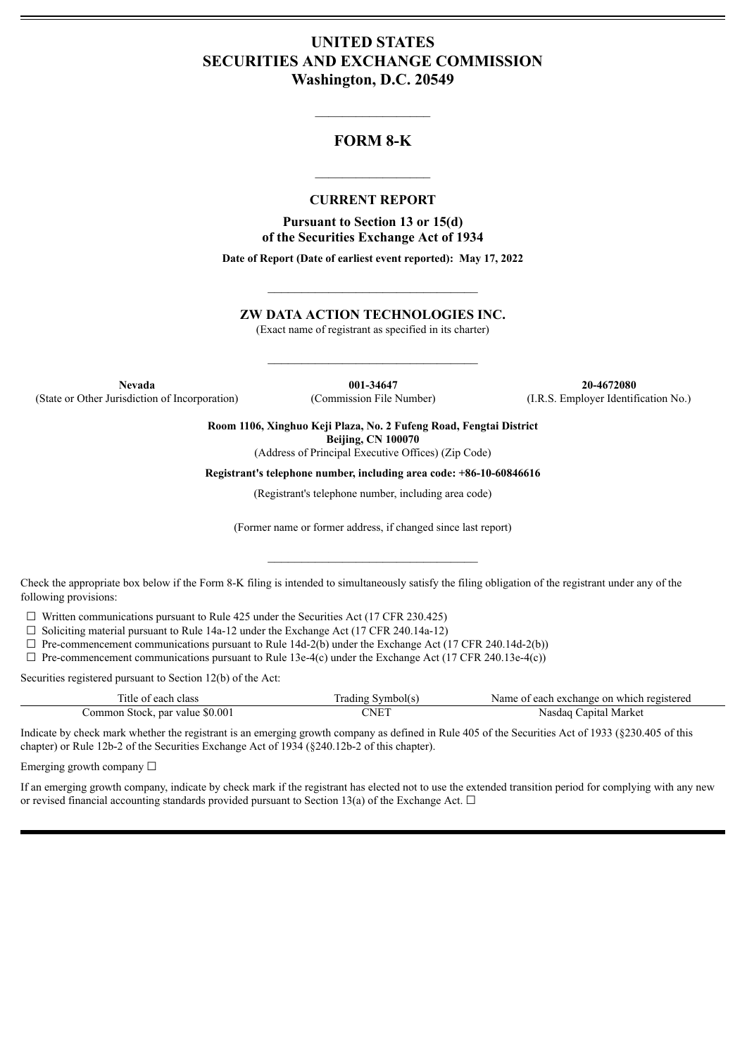# **UNITED STATES SECURITIES AND EXCHANGE COMMISSION Washington, D.C. 20549**

# **FORM 8-K**

 $\mathcal{L}_\text{max}$  and  $\mathcal{L}_\text{max}$  and  $\mathcal{L}_\text{max}$ 

#### **CURRENT REPORT**

 $\frac{1}{2}$  ,  $\frac{1}{2}$  ,  $\frac{1}{2}$  ,  $\frac{1}{2}$  ,  $\frac{1}{2}$  ,  $\frac{1}{2}$  ,  $\frac{1}{2}$ 

**Pursuant to Section 13 or 15(d) of the Securities Exchange Act of 1934**

**Date of Report (Date of earliest event reported): May 17, 2022**

## **ZW DATA ACTION TECHNOLOGIES INC.**

 $\_$ 

(Exact name of registrant as specified in its charter)

 $\mathcal{L}_\text{max}$  and  $\mathcal{L}_\text{max}$  and  $\mathcal{L}_\text{max}$ 

**Nevada 001-34647 20-4672080** (State or Other Jurisdiction of Incorporation) (Commission File Number) (I.R.S. Employer Identification No.)

**Room 1106, Xinghuo Keji Plaza, No. 2 Fufeng Road, Fengtai District Beijing, CN 100070**

(Address of Principal Executive Offices) (Zip Code)

**Registrant's telephone number, including area code: +86-10-60846616**

(Registrant's telephone number, including area code)

(Former name or former address, if changed since last report)

 $\mathcal{L}_\text{max}$  and  $\mathcal{L}_\text{max}$  and  $\mathcal{L}_\text{max}$ 

Check the appropriate box below if the Form 8-K filing is intended to simultaneously satisfy the filing obligation of the registrant under any of the following provisions:

 $\Box$  Written communications pursuant to Rule 425 under the Securities Act (17 CFR 230.425)

 $\Box$  Soliciting material pursuant to Rule 14a-12 under the Exchange Act (17 CFR 240.14a-12)

 $\Box$  Pre-commencement communications pursuant to Rule 14d-2(b) under the Exchange Act (17 CFR 240.14d-2(b))

 $\Box$  Pre-commencement communications pursuant to Rule 13e-4(c) under the Exchange Act (17 CFR 240.13e-4(c))

Securities registered pursuant to Section 12(b) of the Act:

| Title of each class             | Trading Symbol(s) | Name of each exchange on which registered |
|---------------------------------|-------------------|-------------------------------------------|
| Common Stock, par value \$0.001 | CNET              | Nasdaq Capital Market                     |

Indicate by check mark whether the registrant is an emerging growth company as defined in Rule 405 of the Securities Act of 1933 (§230.405 of this chapter) or Rule 12b-2 of the Securities Exchange Act of 1934 (§240.12b-2 of this chapter).

Emerging growth company  $\Box$ 

If an emerging growth company, indicate by check mark if the registrant has elected not to use the extended transition period for complying with any new or revised financial accounting standards provided pursuant to Section 13(a) of the Exchange Act.  $\Box$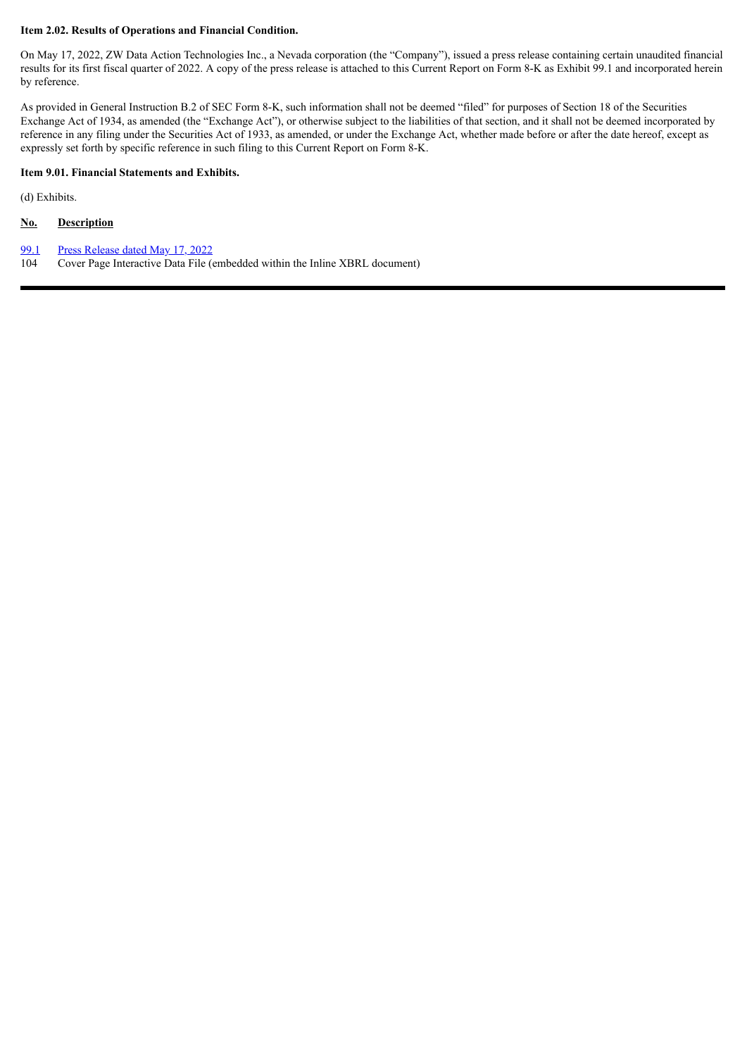## **Item 2.02. Results of Operations and Financial Condition.**

On May 17, 2022, ZW Data Action Technologies Inc., a Nevada corporation (the "Company"), issued a press release containing certain unaudited financial results for its first fiscal quarter of 2022. A copy of the press release is attached to this Current Report on Form 8-K as Exhibit 99.1 and incorporated herein by reference.

As provided in General Instruction B.2 of SEC Form 8-K, such information shall not be deemed "filed" for purposes of Section 18 of the Securities Exchange Act of 1934, as amended (the "Exchange Act"), or otherwise subject to the liabilities of that section, and it shall not be deemed incorporated by reference in any filing under the Securities Act of 1933, as amended, or under the Exchange Act, whether made before or after the date hereof, except as expressly set forth by specific reference in such filing to this Current Report on Form 8-K.

#### **Item 9.01. Financial Statements and Exhibits.**

(d) Exhibits.

| <b>Description</b><br>No. |
|---------------------------|
|---------------------------|

- [99.1](#page-3-0) Press [Release](#page-3-0) dated May 17, 2022
- 104 Cover Page Interactive Data File (embedded within the Inline XBRL document)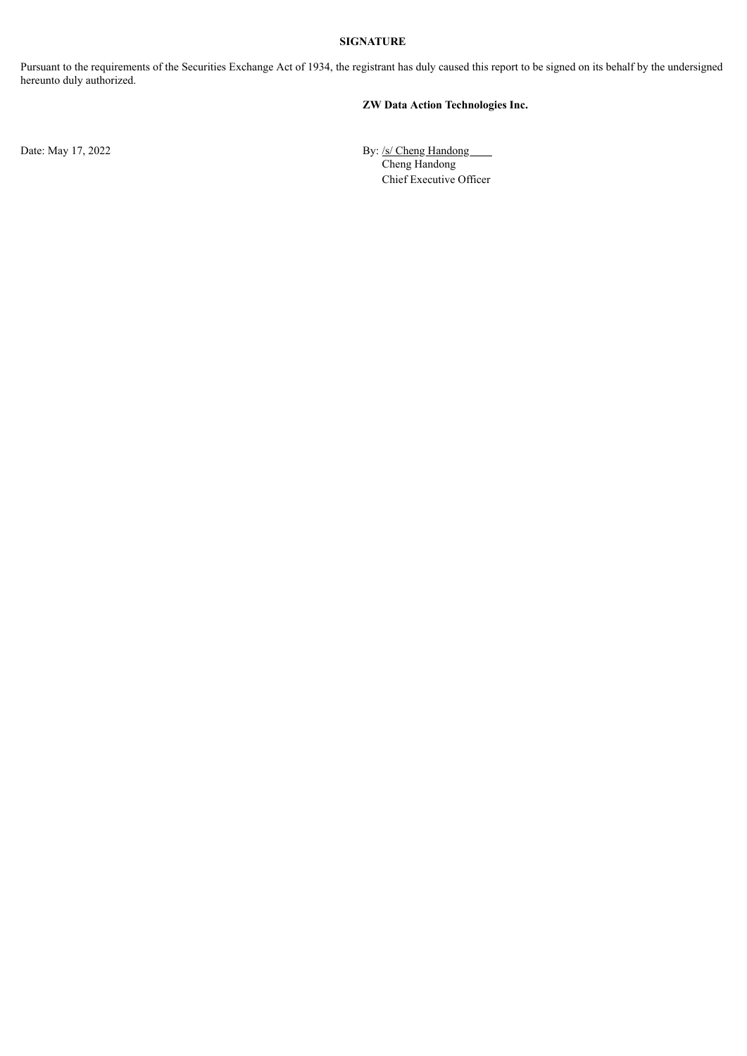#### **SIGNATURE**

Pursuant to the requirements of the Securities Exchange Act of 1934, the registrant has duly caused this report to be signed on its behalf by the undersigned hereunto duly authorized.

#### **ZW Data Action Technologies Inc.**

Date: May 17, 2022 By: /s/ Cheng Handong Cheng Handong Chief Executive Officer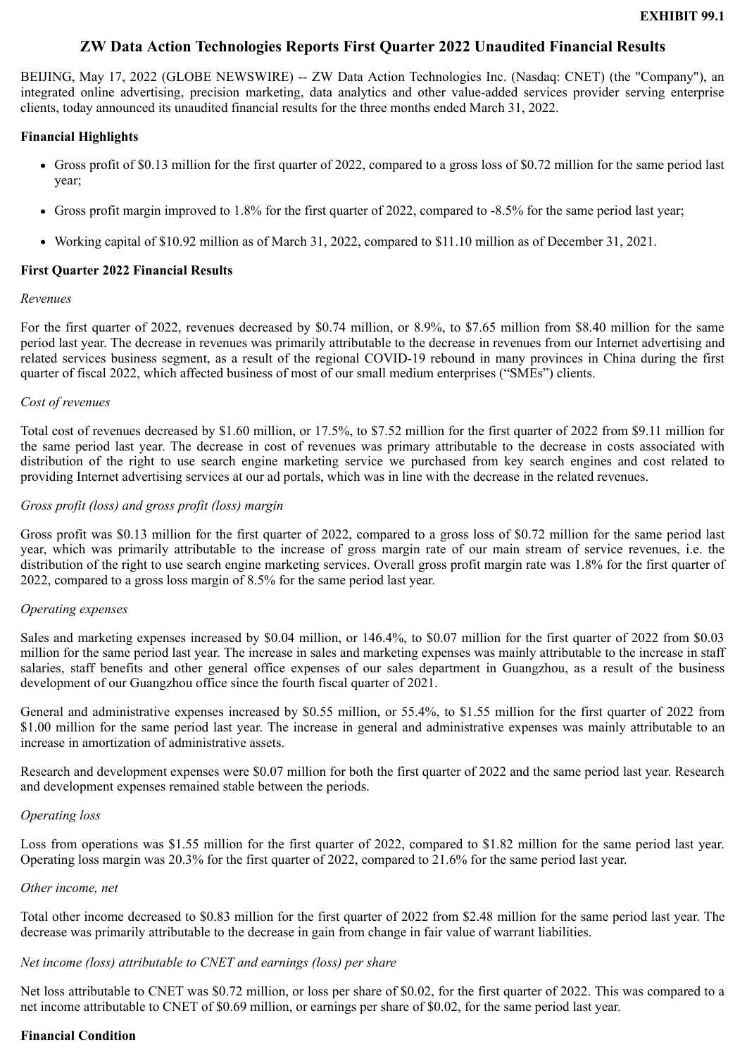# **ZW Data Action Technologies Reports First Quarter 2022 Unaudited Financial Results**

<span id="page-3-0"></span>BEIJING, May 17, 2022 (GLOBE NEWSWIRE) -- ZW Data Action Technologies Inc. (Nasdaq: CNET) (the "Company"), an integrated online advertising, precision marketing, data analytics and other value-added services provider serving enterprise clients, today announced its unaudited financial results for the three months ended March 31, 2022.

#### **Financial Highlights**

- Gross profit of \$0.13 million for the first quarter of 2022, compared to a gross loss of \$0.72 million for the same period last year;
- Gross profit margin improved to 1.8% for the first quarter of 2022, compared to  $-8.5\%$  for the same period last year;
- Working capital of \$10.92 million as of March 31, 2022, compared to \$11.10 million as of December 31, 2021.

## **First Quarter 2022 Financial Results**

#### *Revenues*

For the first quarter of 2022, revenues decreased by \$0.74 million, or 8.9%, to \$7.65 million from \$8.40 million for the same period last year. The decrease in revenues was primarily attributable to the decrease in revenues from our Internet advertising and related services business segment, as a result of the regional COVID-19 rebound in many provinces in China during the first quarter of fiscal 2022, which affected business of most of our small medium enterprises ("SMEs") clients.

#### *Cost of revenues*

Total cost of revenues decreased by \$1.60 million, or 17.5%, to \$7.52 million for the first quarter of 2022 from \$9.11 million for the same period last year. The decrease in cost of revenues was primary attributable to the decrease in costs associated with distribution of the right to use search engine marketing service we purchased from key search engines and cost related to providing Internet advertising services at our ad portals, which was in line with the decrease in the related revenues.

#### *Gross profit (loss) and gross profit (loss) margin*

Gross profit was \$0.13 million for the first quarter of 2022, compared to a gross loss of \$0.72 million for the same period last year, which was primarily attributable to the increase of gross margin rate of our main stream of service revenues, i.e. the distribution of the right to use search engine marketing services. Overall gross profit margin rate was 1.8% for the first quarter of 2022, compared to a gross loss margin of 8.5% for the same period last year.

#### *Operating expenses*

Sales and marketing expenses increased by \$0.04 million, or 146.4%, to \$0.07 million for the first quarter of 2022 from \$0.03 million for the same period last year. The increase in sales and marketing expenses was mainly attributable to the increase in staff salaries, staff benefits and other general office expenses of our sales department in Guangzhou, as a result of the business development of our Guangzhou office since the fourth fiscal quarter of 2021.

General and administrative expenses increased by \$0.55 million, or 55.4%, to \$1.55 million for the first quarter of 2022 from \$1.00 million for the same period last year. The increase in general and administrative expenses was mainly attributable to an increase in amortization of administrative assets.

Research and development expenses were \$0.07 million for both the first quarter of 2022 and the same period last year. Research and development expenses remained stable between the periods.

#### *Operating loss*

Loss from operations was \$1.55 million for the first quarter of 2022, compared to \$1.82 million for the same period last year. Operating loss margin was 20.3% for the first quarter of 2022, compared to 21.6% for the same period last year.

#### *Other income, net*

Total other income decreased to \$0.83 million for the first quarter of 2022 from \$2.48 million for the same period last year. The decrease was primarily attributable to the decrease in gain from change in fair value of warrant liabilities.

#### *Net income (loss) attributable to CNET and earnings (loss) per share*

Net loss attributable to CNET was \$0.72 million, or loss per share of \$0.02, for the first quarter of 2022. This was compared to a net income attributable to CNET of \$0.69 million, or earnings per share of \$0.02, for the same period last year.

#### **Financial Condition**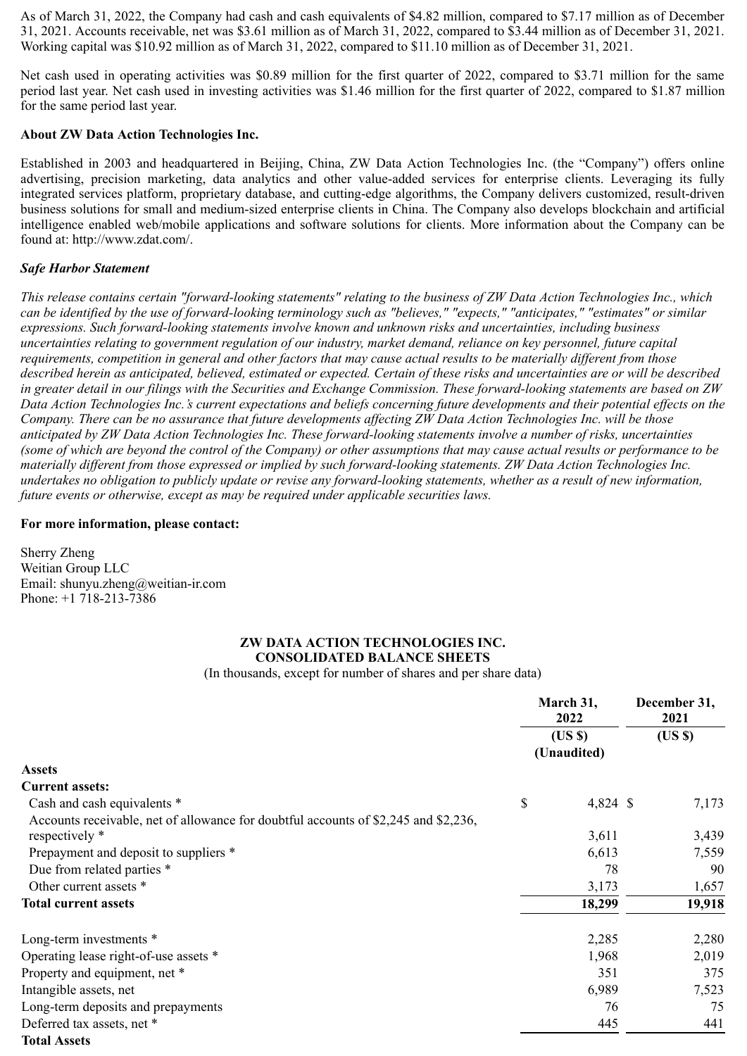As of March 31, 2022, the Company had cash and cash equivalents of \$4.82 million, compared to \$7.17 million as of December 31, 2021. Accounts receivable, net was \$3.61 million as of March 31, 2022, compared to \$3.44 million as of December 31, 2021. Working capital was \$10.92 million as of March 31, 2022, compared to \$11.10 million as of December 31, 2021.

Net cash used in operating activities was \$0.89 million for the first quarter of 2022, compared to \$3.71 million for the same period last year. Net cash used in investing activities was \$1.46 million for the first quarter of 2022, compared to \$1.87 million for the same period last year.

## **About ZW Data Action Technologies Inc.**

Established in 2003 and headquartered in Beijing, China, ZW Data Action Technologies Inc. (the "Company") offers online advertising, precision marketing, data analytics and other value-added services for enterprise clients. Leveraging its fully integrated services platform, proprietary database, and cutting-edge algorithms, the Company delivers customized, result-driven business solutions for small and medium-sized enterprise clients in China. The Company also develops blockchain and artificial intelligence enabled web/mobile applications and software solutions for clients. More information about the Company can be found at: http://www.zdat.com/.

## *Safe Harbor Statement*

*This release contains certain "forward-looking statements" relating to the business of ZW Data Action Technologies Inc., which can be identified by the use of forward-looking terminology such as "believes," "expects," "anticipates," "estimates" or similar expressions. Such forward-looking statements involve known and unknown risks and uncertainties, including business uncertainties relating to government regulation of our industry, market demand, reliance on key personnel, future capital requirements, competition in general and other factors that may cause actual results to be materially different from those described herein as anticipated, believed, estimated or expected. Certain of these risks and uncertainties are or will be described in greater detail in our filings with the Securities and Exchange Commission. These forward-looking statements are based on ZW Data Action Technologies Inc.'s current expectations and beliefs concerning future developments and their potential effects on the Company. There can be no assurance that future developments affecting ZW Data Action Technologies Inc. will be those anticipated by ZW Data Action Technologies Inc. These forward-looking statements involve a number of risks, uncertainties (some of which are beyond the control of the Company) or other assumptions that may cause actual results or performance to be materially different from those expressed or implied by such forward-looking statements. ZW Data Action Technologies Inc. undertakes no obligation to publicly update or revise any forward-looking statements, whether as a result of new information, future events or otherwise, except as may be required under applicable securities laws.*

## **For more information, please contact:**

Sherry Zheng Weitian Group LLC Email: shunyu.zheng@weitian-ir.com Phone: +1 718-213-7386

## **ZW DATA ACTION TECHNOLOGIES INC. CONSOLIDATED BALANCE SHEETS**

(In thousands, except for number of shares and per share data)

| <b>Assets</b>                                                                       |    | March 31,<br>2022    |       | December 31,<br>2021 |  |
|-------------------------------------------------------------------------------------|----|----------------------|-------|----------------------|--|
|                                                                                     |    | (USS)<br>(Unaudited) | (USS) |                      |  |
|                                                                                     |    |                      |       |                      |  |
| <b>Current assets:</b>                                                              |    |                      |       |                      |  |
| Cash and cash equivalents *                                                         | \$ | 4,824 \$             |       | 7,173                |  |
| Accounts receivable, net of allowance for doubtful accounts of \$2,245 and \$2,236, |    |                      |       |                      |  |
| respectively *                                                                      |    | 3,611                |       | 3,439                |  |
| Prepayment and deposit to suppliers *                                               |    | 6,613                |       | 7,559                |  |
| Due from related parties *                                                          |    | 78                   |       | 90                   |  |
| Other current assets *                                                              |    | 3,173                |       | 1,657                |  |
| <b>Total current assets</b>                                                         |    | 18,299               |       | 19,918               |  |
| Long-term investments *                                                             |    | 2,285                |       | 2,280                |  |
| Operating lease right-of-use assets *                                               |    | 1,968                |       | 2,019                |  |
| Property and equipment, net *                                                       |    | 351                  |       | 375                  |  |
| Intangible assets, net                                                              |    | 6,989                |       | 7,523                |  |
| Long-term deposits and prepayments                                                  |    | 76                   |       | 75                   |  |
| Deferred tax assets, net *                                                          |    | 445                  |       | 441                  |  |
| <b>Total Assets</b>                                                                 |    |                      |       |                      |  |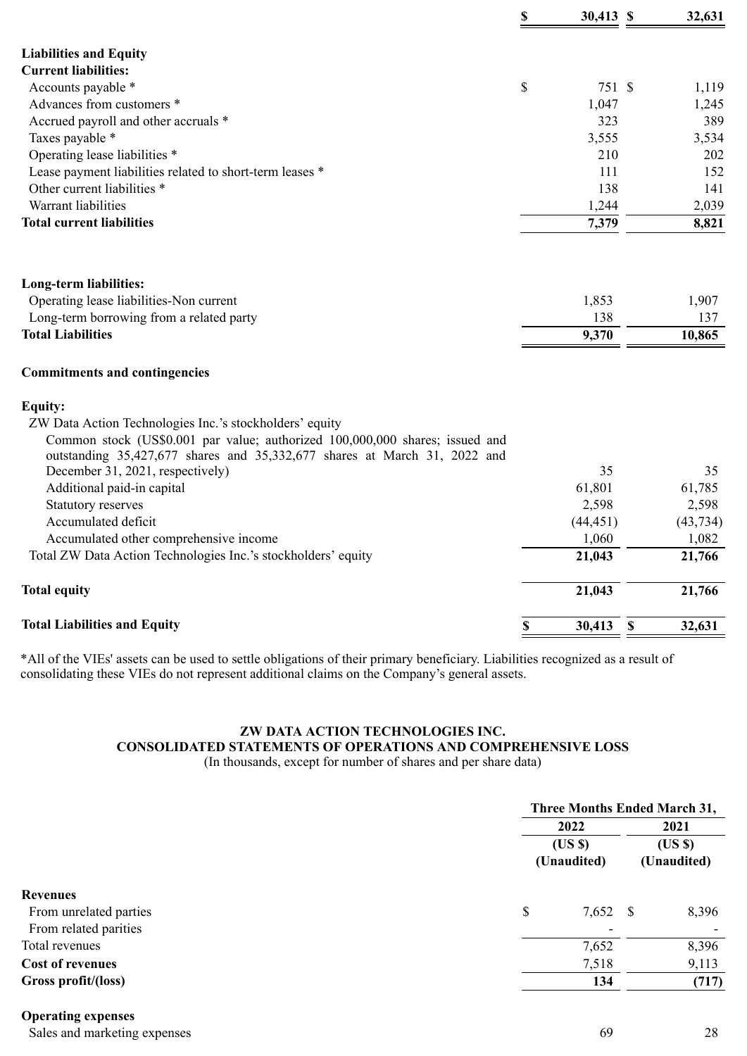|                                                                                                                                                           | \$<br>30,413 \$ |                           | 32,631    |
|-----------------------------------------------------------------------------------------------------------------------------------------------------------|-----------------|---------------------------|-----------|
| <b>Liabilities and Equity</b>                                                                                                                             |                 |                           |           |
| <b>Current liabilities:</b>                                                                                                                               |                 |                           |           |
| Accounts payable *                                                                                                                                        | \$<br>751 \$    |                           | 1,119     |
| Advances from customers *                                                                                                                                 | 1,047           |                           | 1,245     |
| Accrued payroll and other accruals *                                                                                                                      | 323             |                           | 389       |
| Taxes payable *                                                                                                                                           | 3,555           |                           | 3,534     |
| Operating lease liabilities *                                                                                                                             | 210             |                           | 202       |
| Lease payment liabilities related to short-term leases *                                                                                                  | 111             |                           | 152       |
| Other current liabilities *                                                                                                                               | 138             |                           | 141       |
| Warrant liabilities                                                                                                                                       | 1,244           |                           | 2,039     |
| <b>Total current liabilities</b>                                                                                                                          | 7,379           |                           | 8,821     |
|                                                                                                                                                           |                 |                           |           |
| Long-term liabilities:                                                                                                                                    |                 |                           |           |
| Operating lease liabilities-Non current                                                                                                                   | 1,853           |                           | 1,907     |
| Long-term borrowing from a related party                                                                                                                  | 138             |                           | 137       |
| <b>Total Liabilities</b>                                                                                                                                  | 9,370           |                           | 10,865    |
| <b>Commitments and contingencies</b>                                                                                                                      |                 |                           |           |
| <b>Equity:</b>                                                                                                                                            |                 |                           |           |
| ZW Data Action Technologies Inc.'s stockholders' equity                                                                                                   |                 |                           |           |
| Common stock (US\$0.001 par value; authorized 100,000,000 shares; issued and<br>outstanding 35,427,677 shares and 35,332,677 shares at March 31, 2022 and |                 |                           |           |
| December 31, 2021, respectively)                                                                                                                          | 35              |                           | 35        |
| Additional paid-in capital                                                                                                                                | 61,801          |                           | 61,785    |
| <b>Statutory reserves</b>                                                                                                                                 | 2,598           |                           | 2,598     |
| Accumulated deficit                                                                                                                                       | (44, 451)       |                           | (43, 734) |
| Accumulated other comprehensive income                                                                                                                    | 1,060           |                           | 1,082     |
| Total ZW Data Action Technologies Inc.'s stockholders' equity                                                                                             | 21,043          |                           | 21,766    |
| <b>Total equity</b>                                                                                                                                       | 21,043          |                           | 21,766    |
| <b>Total Liabilities and Equity</b>                                                                                                                       | \$<br>30,413    | $\boldsymbol{\mathsf{S}}$ | 32,631    |

\*All of the VIEs' assets can be used to settle obligations of their primary beneficiary. Liabilities recognized as a result of consolidating these VIEs do not represent additional claims on the Company's general assets.

# **ZW DATA ACTION TECHNOLOGIES INC. CONSOLIDATED STATEMENTS OF OPERATIONS AND COMPREHENSIVE LOSS**

(In thousands, except for number of shares and per share data)

|                         |                      | <b>Three Months Ended March 31,</b> |  |  |  |  |
|-------------------------|----------------------|-------------------------------------|--|--|--|--|
|                         | 2022                 | 2021<br>(USS)<br>(Unaudited)        |  |  |  |  |
| <b>Revenues</b>         | (USS)<br>(Unaudited) |                                     |  |  |  |  |
|                         |                      |                                     |  |  |  |  |
| From unrelated parties  | \$<br>7,652          | 8,396<br><sup>S</sup>               |  |  |  |  |
| From related parities   |                      |                                     |  |  |  |  |
| Total revenues          | 7,652                | 8,396                               |  |  |  |  |
| <b>Cost of revenues</b> | 7,518                | 9,113                               |  |  |  |  |
| Gross profit/(loss)     | 134                  | (717)                               |  |  |  |  |

# **Operating expenses**

Sales and marketing expenses 69 28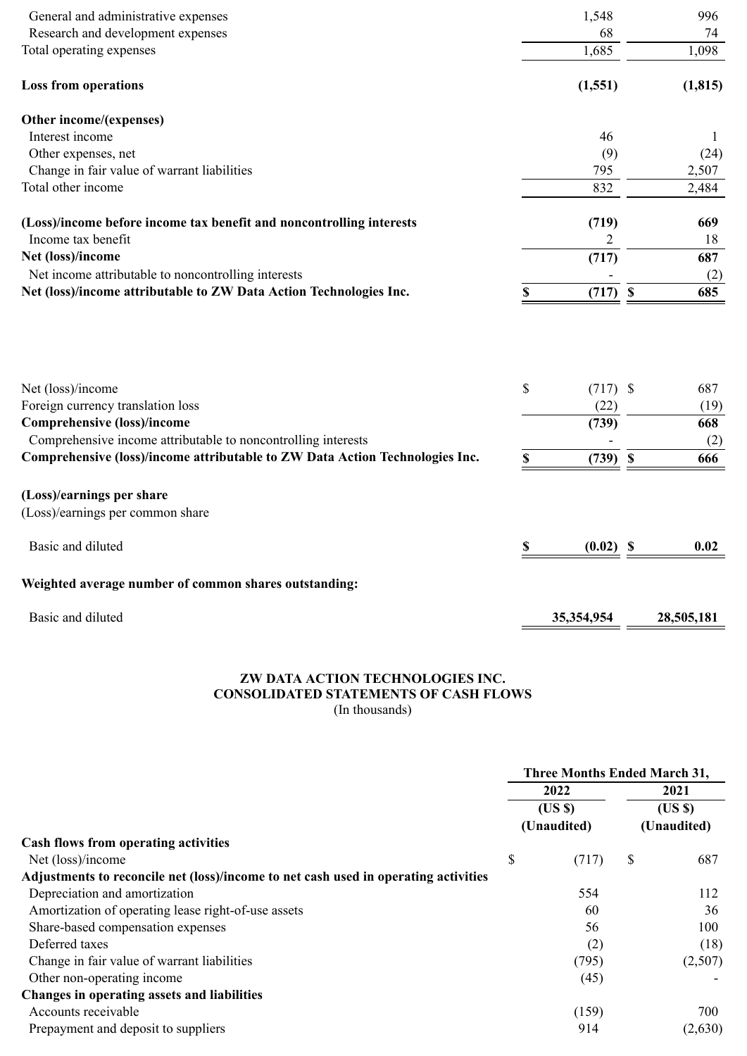| General and administrative expenses                                                                                                                                                                                                           |          | 1,548                                     |               | 996                              |
|-----------------------------------------------------------------------------------------------------------------------------------------------------------------------------------------------------------------------------------------------|----------|-------------------------------------------|---------------|----------------------------------|
| Research and development expenses                                                                                                                                                                                                             |          | 68                                        |               | 74                               |
| Total operating expenses                                                                                                                                                                                                                      |          | 1,685                                     |               | 1,098                            |
| <b>Loss from operations</b>                                                                                                                                                                                                                   |          | (1,551)                                   |               | (1, 815)                         |
| Other income/(expenses)                                                                                                                                                                                                                       |          |                                           |               |                                  |
| Interest income                                                                                                                                                                                                                               |          | 46                                        |               | 1                                |
| Other expenses, net                                                                                                                                                                                                                           |          | (9)                                       |               | (24)                             |
| Change in fair value of warrant liabilities                                                                                                                                                                                                   |          | 795                                       |               | 2,507                            |
| Total other income                                                                                                                                                                                                                            |          | 832                                       |               | 2,484                            |
| (Loss)/income before income tax benefit and noncontrolling interests                                                                                                                                                                          |          | (719)                                     |               | 669                              |
| Income tax benefit                                                                                                                                                                                                                            |          | $\overline{2}$                            |               | 18                               |
| Net (loss)/income                                                                                                                                                                                                                             |          | (717)                                     |               | 687                              |
| Net income attributable to noncontrolling interests                                                                                                                                                                                           |          |                                           |               | (2)                              |
| Net (loss)/income attributable to ZW Data Action Technologies Inc.                                                                                                                                                                            | \$       | (717)                                     | $\mathbf{\$}$ | 685                              |
| Net (loss)/income<br>Foreign currency translation loss<br><b>Comprehensive (loss)/income</b><br>Comprehensive income attributable to noncontrolling interests<br>Comprehensive (loss)/income attributable to ZW Data Action Technologies Inc. | \$<br>\$ | $(717)$ \$<br>(22)<br>(739)<br>$(739)$ \$ |               | 687<br>(19)<br>668<br>(2)<br>666 |
| (Loss)/earnings per share                                                                                                                                                                                                                     |          |                                           |               |                                  |
| (Loss)/earnings per common share                                                                                                                                                                                                              |          |                                           |               |                                  |
| Basic and diluted                                                                                                                                                                                                                             | \$       | (0.02)                                    | - \$          | 0.02                             |
| Weighted average number of common shares outstanding:                                                                                                                                                                                         |          |                                           |               |                                  |
| Basic and diluted                                                                                                                                                                                                                             |          | 35,354,954                                |               | 28,505,181                       |

#### **ZW DATA ACTION TECHNOLOGIES INC. CONSOLIDATED STATEMENTS OF CASH FLOWS** (In thousands)

|                                                                                     | <b>Three Months Ended March 31,</b> |                      |      |                      |  |
|-------------------------------------------------------------------------------------|-------------------------------------|----------------------|------|----------------------|--|
|                                                                                     | 2022                                |                      | 2021 |                      |  |
|                                                                                     |                                     | (USS)<br>(Unaudited) |      | (USS)<br>(Unaudited) |  |
| <b>Cash flows from operating activities</b>                                         |                                     |                      |      |                      |  |
| Net (loss)/income                                                                   | \$                                  | (717)                | \$   | 687                  |  |
| Adjustments to reconcile net (loss)/income to net cash used in operating activities |                                     |                      |      |                      |  |
| Depreciation and amortization                                                       |                                     | 554                  |      | 112                  |  |
| Amortization of operating lease right-of-use assets                                 |                                     | 60                   |      | 36                   |  |
| Share-based compensation expenses                                                   |                                     | 56                   |      | 100                  |  |
| Deferred taxes                                                                      |                                     | (2)                  |      | (18)                 |  |
| Change in fair value of warrant liabilities                                         |                                     | (795)                |      | (2,507)              |  |
| Other non-operating income                                                          |                                     | (45)                 |      |                      |  |
| Changes in operating assets and liabilities                                         |                                     |                      |      |                      |  |
| Accounts receivable                                                                 |                                     | (159)                |      | 700                  |  |
| Prepayment and deposit to suppliers                                                 |                                     | 914                  |      | (2,630)              |  |